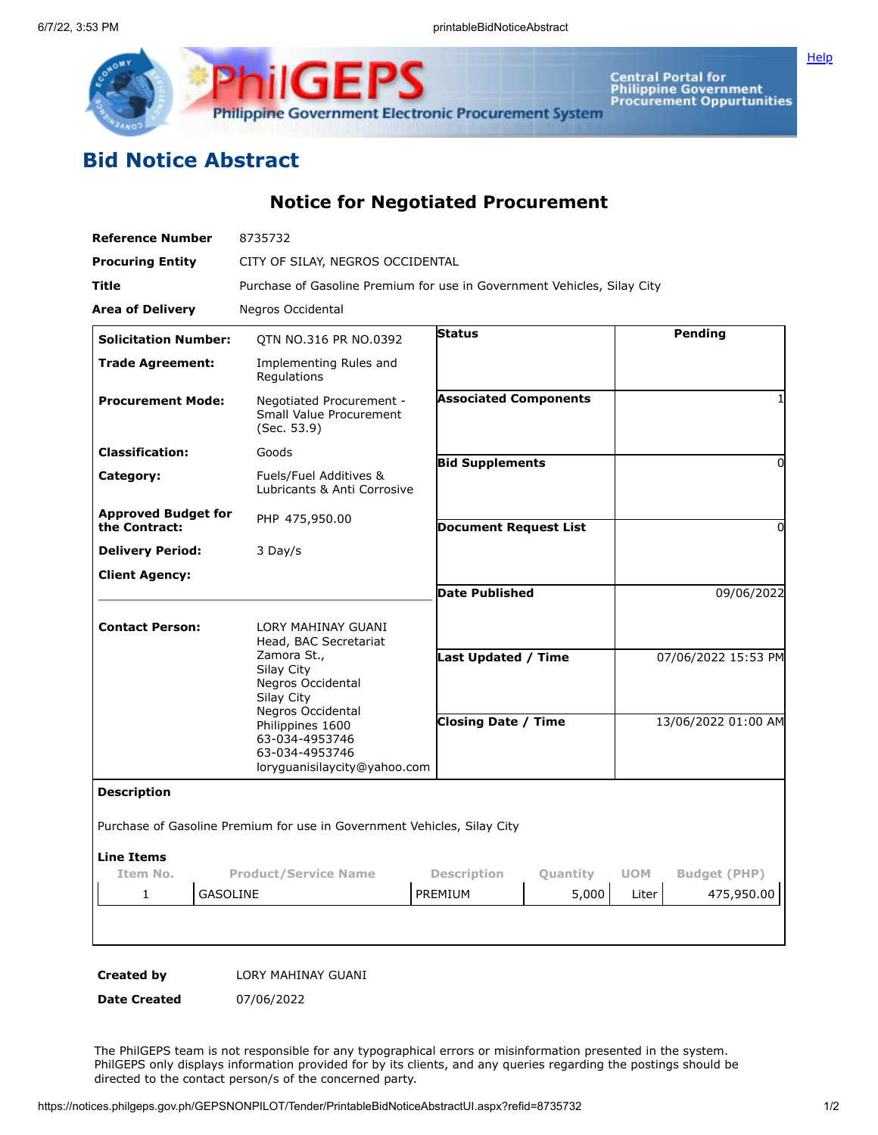



Central Portal for<br>Philippine Government<br>Procurement Oppurtunities

## **Bid Notice Abstract**

**Notice for Negotiated Procurement**

| Reference Number                            | 8735732                                                                                                     |                              |                              |            |                     |  |
|---------------------------------------------|-------------------------------------------------------------------------------------------------------------|------------------------------|------------------------------|------------|---------------------|--|
| <b>Procuring Entity</b>                     | CITY OF SILAY, NEGROS OCCIDENTAL                                                                            |                              |                              |            |                     |  |
| Title                                       | Purchase of Gasoline Premium for use in Government Vehicles, Silay City                                     |                              |                              |            |                     |  |
| <b>Area of Delivery</b>                     | Negros Occidental                                                                                           |                              |                              |            |                     |  |
| <b>Solicitation Number:</b>                 | QTN NO.316 PR NO.0392                                                                                       | <b>Status</b>                |                              |            | Pending             |  |
| <b>Trade Agreement:</b>                     | Implementing Rules and<br>Regulations                                                                       |                              |                              |            |                     |  |
| <b>Procurement Mode:</b>                    | Negotiated Procurement -<br><b>Small Value Procurement</b><br>(Sec. 53.9)                                   | <b>Associated Components</b> |                              |            |                     |  |
| <b>Classification:</b>                      | Goods                                                                                                       |                              | <b>Bid Supplements</b>       |            | 0                   |  |
| Category:                                   | Fuels/Fuel Additives &<br>Lubricants & Anti Corrosive                                                       |                              |                              |            |                     |  |
| <b>Approved Budget for</b><br>the Contract: | PHP 475,950.00                                                                                              |                              | <b>Document Request List</b> |            | 0                   |  |
| <b>Delivery Period:</b>                     | 3 Day/s                                                                                                     |                              |                              |            |                     |  |
| <b>Client Agency:</b>                       |                                                                                                             |                              |                              |            |                     |  |
|                                             |                                                                                                             | <b>Date Published</b>        |                              |            | 09/06/2022          |  |
| <b>Contact Person:</b>                      | LORY MAHINAY GUANI<br>Head, BAC Secretariat<br>Zamora St.,<br>Silay City<br>Negros Occidental<br>Silay City |                              | Last Updated / Time          |            | 07/06/2022 15:53 PM |  |
|                                             | Negros Occidental<br>Philippines 1600<br>63-034-4953746<br>63-034-4953746<br>loryguanisilaycity@yahoo.com   |                              | <b>Closing Date / Time</b>   |            | 13/06/2022 01:00 AM |  |
| <b>Description</b>                          |                                                                                                             |                              |                              |            |                     |  |
|                                             | Purchase of Gasoline Premium for use in Government Vehicles, Silay City                                     |                              |                              |            |                     |  |
| <b>Line Items</b>                           |                                                                                                             | <b>Description</b>           |                              |            |                     |  |
| Item No.                                    | <b>Product/Service Name</b><br>GASOLINE                                                                     |                              | Quantity                     | <b>UOM</b> | <b>Budget (PHP)</b> |  |
| $\mathbf{1}$                                |                                                                                                             | PREMIUM                      | 5,000                        | Liter      | 475,950.00          |  |
|                                             |                                                                                                             |                              |                              |            |                     |  |
|                                             |                                                                                                             |                              |                              |            |                     |  |

**Created by** LORY MAHINAY GUANI

**Date Created** 07/06/2022

The PhilGEPS team is not responsible for any typographical errors or misinformation presented in the system. PhilGEPS only displays information provided for by its clients, and any queries regarding the postings should be directed to the contact person/s of the concerned party.